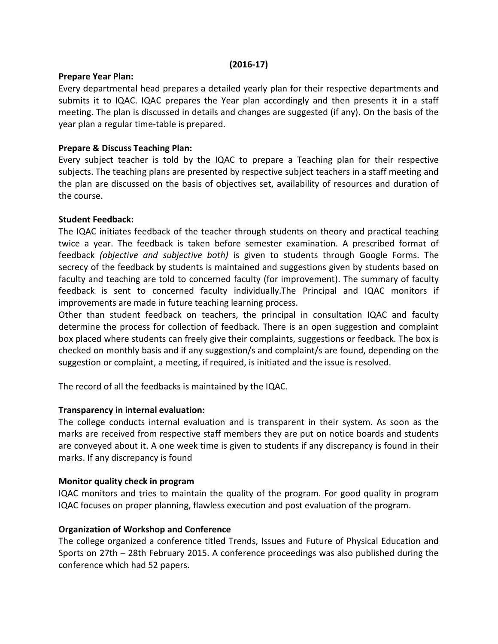#### (2016-17)

#### Prepare Year Plan:

Every departmental head prepares a detailed yearly plan for their respective departments and submits it to IQAC. IQAC prepares the Year plan accordingly and then presents it in a staff meeting. The plan is discussed in details and changes are suggested (if any). On the basis of the year plan a regular time-table is prepared.

## Prepare & Discuss Teaching Plan:

Every subject teacher is told by the IQAC to prepare a Teaching plan for their respective subjects. The teaching plans are presented by respective subject teachers in a staff meeting and the plan are discussed on the basis of objectives set, availability of resources and duration of the course.

### Student Feedback:

The IQAC initiates feedback of the teacher through students on theory and practical teaching twice a year. The feedback is taken before semester examination. A prescribed format of feedback (objective and subjective both) is given to students through Google Forms. The secrecy of the feedback by students is maintained and suggestions given by students based on faculty and teaching are told to concerned faculty (for improvement). The summary of faculty feedback is sent to concerned faculty individually.The Principal and IQAC monitors if improvements are made in future teaching learning process.

Other than student feedback on teachers, the principal in consultation IQAC and faculty determine the process for collection of feedback. There is an open suggestion and complaint box placed where students can freely give their complaints, suggestions or feedback. The box is checked on monthly basis and if any suggestion/s and complaint/s are found, depending on the suggestion or complaint, a meeting, if required, is initiated and the issue is resolved.

The record of all the feedbacks is maintained by the IQAC.

### Transparency in internal evaluation:

The college conducts internal evaluation and is transparent in their system. As soon as the marks are received from respective staff members they are put on notice boards and students are conveyed about it. A one week time is given to students if any discrepancy is found in their marks. If any discrepancy is found

### Monitor quality check in program

IQAC monitors and tries to maintain the quality of the program. For good quality in program IQAC focuses on proper planning, flawless execution and post evaluation of the program.

### Organization of Workshop and Conference

The college organized a conference titled Trends, Issues and Future of Physical Education and Sports on 27th – 28th February 2015. A conference proceedings was also published during the conference which had 52 papers.